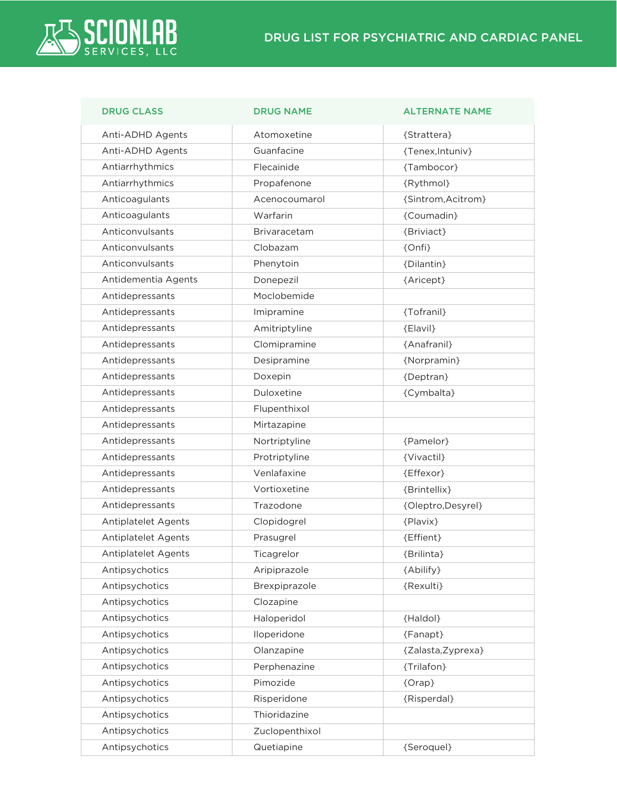

| <b>DRUG CLASS</b>   | <b>DRUG NAME</b> | <b>ALTERNATE NAME</b> |
|---------------------|------------------|-----------------------|
| Anti-ADHD Agents    | Atomoxetine      | {Strattera}           |
| Anti-ADHD Agents    | Guanfacine       | {Tenex, Intuniv}      |
| Antiarrhythmics     | Flecainide       | {Tambocor}            |
| Antiarrhythmics     | Propafenone      | {Rythmol}             |
| Anticoagulants      | Acenocoumarol    | {Sintrom, Acitrom}    |
| Anticoagulants      | Warfarin         | {Coumadin}            |
| Anticonvulsants     | Brivaracetam     | {Briviact}            |
| Anticonvulsants     | Clobazam         | {Onfi}                |
| Anticonvulsants     | Phenytoin        | {Dilantin}            |
| Antidementia Agents | Donepezil        | {Aricept}             |
| Antidepressants     | Moclobemide      |                       |
| Antidepressants     | Imipramine       | {Tofranil}            |
| Antidepressants     | Amitriptyline    | {Elavil}              |
| Antidepressants     | Clomipramine     | {Anafranil}           |
| Antidepressants     | Desipramine      | {Norpramin}           |
| Antidepressants     | Doxepin          | {Deptran}             |
| Antidepressants     | Duloxetine       | {Cymbalta}            |
| Antidepressants     | Flupenthixol     |                       |
| Antidepressants     | Mirtazapine      |                       |
| Antidepressants     | Nortriptyline    | {Pamelor}             |
| Antidepressants     | Protriptyline    | {Vivactil}            |
| Antidepressants     | Venlafaxine      | {Effexor}             |
| Antidepressants     | Vortioxetine     | {Brintellix}          |
| Antidepressants     | Trazodone        | {Oleptro, Desyrel}    |
| Antiplatelet Agents | Clopidogrel      | {Plavix}              |
| Antiplatelet Agents | Prasugrel        | {Effient}             |
| Antiplatelet Agents | Ticagrelor       | {Brilinta}            |
| Antipsychotics      | Aripiprazole     | {Abilify}             |
| Antipsychotics      | Brexpiprazole    | {Rexulti}             |
| Antipsychotics      | Clozapine        |                       |
| Antipsychotics      | Haloperidol      | {Haldol}              |
| Antipsychotics      | Iloperidone      | {Fanapt}              |
| Antipsychotics      | Olanzapine       | {Zalasta, Zyprexa}    |
| Antipsychotics      | Perphenazine     | {Trilafon}            |
| Antipsychotics      | Pimozide         | {Orap}                |
| Antipsychotics      | Risperidone      | {Risperdal}           |
| Antipsychotics      | Thioridazine     |                       |
| Antipsychotics      | Zuclopenthixol   |                       |
| Antipsychotics      | Quetiapine       | {Seroquel}            |